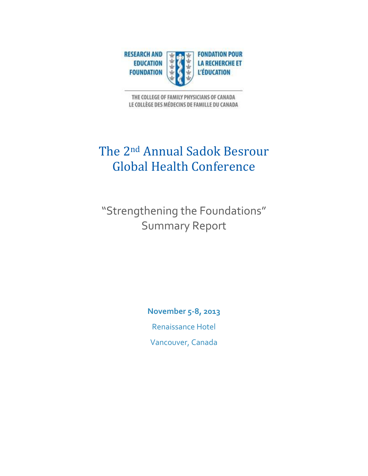

THE COLLEGE OF FAMILY PHYSICIANS OF CANADA LE COLLÈGE DES MÉDECINS DE FAMILLE DU CANADA

## The 2nd Annual Sadok Besrour Global Health Conference

"Strengthening the Foundations" Summary Report

> **November 5-8, 2013** Renaissance Hotel Vancouver, Canada